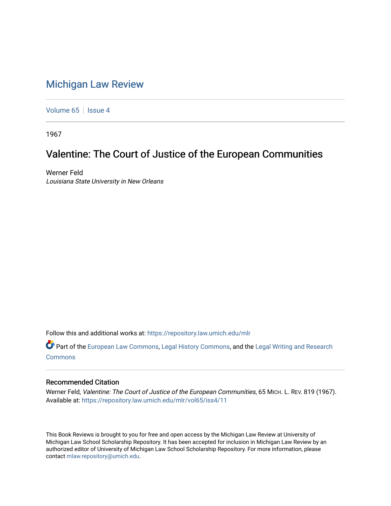## [Michigan Law Review](https://repository.law.umich.edu/mlr)

[Volume 65](https://repository.law.umich.edu/mlr/vol65) | [Issue 4](https://repository.law.umich.edu/mlr/vol65/iss4)

1967

## Valentine: The Court of Justice of the European Communities

Werner Feld Louisiana State University in New Orleans

Follow this and additional works at: [https://repository.law.umich.edu/mlr](https://repository.law.umich.edu/mlr?utm_source=repository.law.umich.edu%2Fmlr%2Fvol65%2Fiss4%2F11&utm_medium=PDF&utm_campaign=PDFCoverPages) 

Part of the [European Law Commons,](http://network.bepress.com/hgg/discipline/1084?utm_source=repository.law.umich.edu%2Fmlr%2Fvol65%2Fiss4%2F11&utm_medium=PDF&utm_campaign=PDFCoverPages) [Legal History Commons](http://network.bepress.com/hgg/discipline/904?utm_source=repository.law.umich.edu%2Fmlr%2Fvol65%2Fiss4%2F11&utm_medium=PDF&utm_campaign=PDFCoverPages), and the [Legal Writing and Research](http://network.bepress.com/hgg/discipline/614?utm_source=repository.law.umich.edu%2Fmlr%2Fvol65%2Fiss4%2F11&utm_medium=PDF&utm_campaign=PDFCoverPages) [Commons](http://network.bepress.com/hgg/discipline/614?utm_source=repository.law.umich.edu%2Fmlr%2Fvol65%2Fiss4%2F11&utm_medium=PDF&utm_campaign=PDFCoverPages)

## Recommended Citation

Werner Feld, Valentine: The Court of Justice of the European Communities, 65 MICH. L. REV. 819 (1967). Available at: [https://repository.law.umich.edu/mlr/vol65/iss4/11](https://repository.law.umich.edu/mlr/vol65/iss4/11?utm_source=repository.law.umich.edu%2Fmlr%2Fvol65%2Fiss4%2F11&utm_medium=PDF&utm_campaign=PDFCoverPages) 

This Book Reviews is brought to you for free and open access by the Michigan Law Review at University of Michigan Law School Scholarship Repository. It has been accepted for inclusion in Michigan Law Review by an authorized editor of University of Michigan Law School Scholarship Repository. For more information, please contact [mlaw.repository@umich.edu](mailto:mlaw.repository@umich.edu).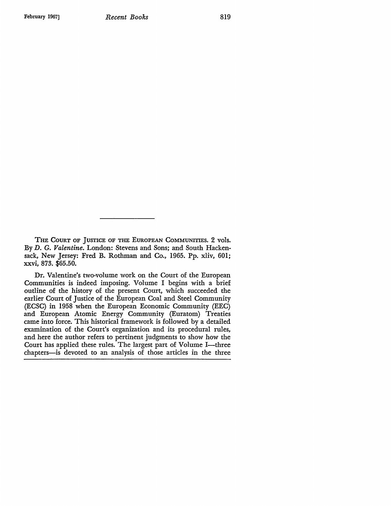THE COURT OF JUSTICE OF THE EUROPEAN COMMUNITIES. 2 vols. By *D.* G. *Valentine.* London: Stevens and Sons; and South Hackensack, New Jersey: Fred B. Rothman and Co., 1965. Pp. xliv, 601; xxvi, 873. \$65.50.

Dr. Valentine's two-volume work on the Court of the European Communities is indeed imposing. Volume I begins with a brief outline of the history of the present Court, which succeeded the earlier Court of Justice of the European Coal and Steel Community (ECSC) in 1958 when the European Economic Community (EEC) and European Atomic Energy Community (Euratom) Treaties came into force. This historical framework is followed by a detailed examination of the Court's organization and its procedural rules, and here the author refers to pertinent judgments to show how the Court has applied these rules. The largest part of Volume I---three chapters-is devoted to an analysis of those articles in the three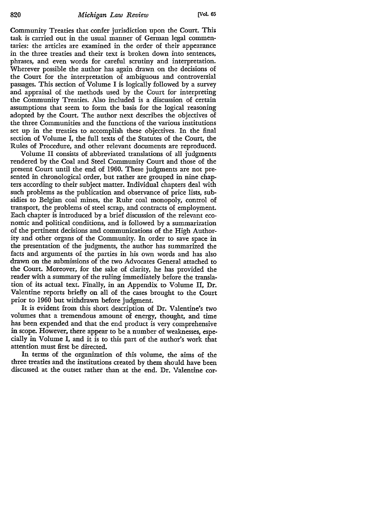Community Treaties that confer jurisdiction upon the Court. This task is carried out in the usual manner of German legal commentaries: the articles are examined in the order of their appearance in the three treaties and their text is broken down into sentences, phrases, and even words for careful scrutiny and interpretation. Wherever possible the author has again drawn on the decisions of the Court for the interpretation of ambiguous and controversial passages. This section of Volume I is logically followed by a survey and appraisal of the methods used by the Court for interpreting the Community Treaties. Also included is a discussion of certain assumptions that seem to form the basis for the logical reasoning adopted by the Court. The author next describes the objectives of the three Communities and the functions of the various institutions set up in the treaties to accomplish these objectives. In the final section of Volume I, the full texts of the Statutes of the Court, the Rules of Procedure, and other relevant documents are reproduced.

Volume II consists of abbreviated translations of all judgments rendered by the Coal and Steel Community Court and those of the present Court until the end of 1960. These judgments are not presented in chronological order, but rather are grouped in nine chapters according to their subject matter. Individual chapters deal with such problems as the publication and observance of price lists, subsidies to Belgian coal mines, the Ruhr coal monopoly, control of transport, the problems of steel scrap, and contracts of employment. Each chapter is introduced by a brief discussion of the relevant economic and political conditions, and is followed by a summarization of the pertinent decisions and communications of the High Authority and other organs of the Community. In order to save space in the presentation of the judgments, the author has summarized the facts and arguments of the parties in his own words and has also drawn on the submissions of the two Advocates General attached to the Court. Moreover, for the sake of clarity, he has provided the reader with a summary of the ruling immediately before the translation of its actual text. Finally, in an Appendix to Volume II, Dr. Valentine reports briefly on all of the cases brought to the Court prior to 1960 but withdrawn before judgment.

It is evident from this short description of Dr. Valentine's two volumes that a tremendous amount of energy, thought, and time has been expended and that the end product is very comprehensive in scope. However, there appear to be a number of weaknesses, especially in Volume I, and it is to this part of the author's work that attention must first be directed.

In terms of the organization of this volume, the aims of the three treaties and the institutions created by them should have been discussed at the outset rather than at the end. Dr. Valentine cor-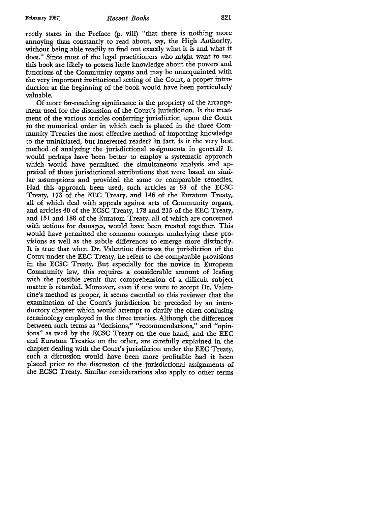rectly states in the Preface (p. viii) "that there is nothing more annoying than constantly to read about, say, the High Authority, without being able readily to find out exactly what it is and what it does." Since most of the legal practitioners who might want to use this book are likely to possess little knowledge about the powers and functions of the Community organs and may be unacquainted with the very important institutional setting of the Court, a proper introduction at the beginning of the book would have been particularly valuable.

Of more far-reaching significance is the propriety of the arrangement used for the discussion of the Court's jurisdiction. Is the treatment of the various articles conferring jurisdiction upon the Court in the numerical order in which each is placed in the three Community Treaties the most effective method of importing knowledge to the uninitiated, but interested reader? In fact, is it the very best method of analyzing the jurisdictional assignments in general? It would perhaps have been better to employ a systematic approach which would have permitted the simultaneous analysis and appraisal of those jurisdictional attributions that were based on similar assumptions and provided the same or comparable remedies. Had this approach been used, such articles as 33 of the ECSC Treaty, 173 of the EEC Treaty, and 146 of the Euratom Treaty, all of which deal with appeals against acts of Community organs, and articles 40 of the ECSC Treaty, 178 and 215 of the EEC Treaty, and 151 and 188 of the Euratom Treaty, all of which are concerned with actions for damages, would have been treated together. This would have permitted the common concepts underlying these provisions as well as the subtle differences to emerge more distinctly. It is true that when Dr. Valentine discusses the jurisdiction of the Court under the EEC Treaty, he refers to the comparable provisions in the ECSC Treaty. But especially for the novice in European Community law, this requires a considerable amount of leafing with the possible result that comprehension of a difficult subject matter is retarded. Moreover, even if one were to accept Dr. Valentine's method as proper, it seems essential to this reviewer that the examination of the Court's jurisdiction be preceded by an introductory chapter which would attempt to clarify the often confusing terminology employed in the three treaties. Although the differences between such terms as "decisions," "recommendations," and "opinions" as used by the ECSC Treaty on the one hand, and the EEC and Euratom Treaties on the other, are carefully explained in the chapter dealing with the Court's jurisdiction under the EEC Treaty, such a discussion would have been more profitable had it been placed prior to the discussion of the jurisdictional assignments of the ECSC Treaty. Similar considerations also apply to other terms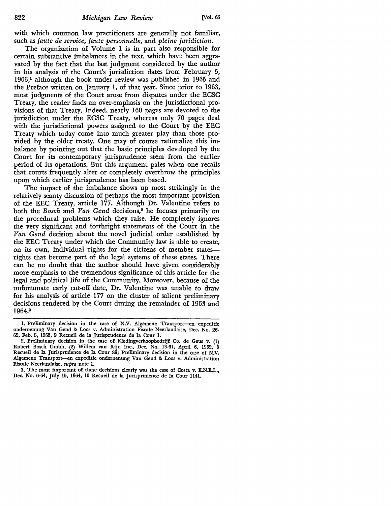with which common law practitioners are generally not familiar, such as *faute de service, faute personnelle,* and *pleine furidiction.* 

The organization of Volume I is in part also responsible for certain substantive imbalances in the text, which have been aggravated by the fact that the last judgment considered by the author in his analysis of the Court's jurisdiction dates from. February 5, 1963,1 although the book under review was published. in 1965 and the Preface written on January 1, of that year. Since prior to 1963, most judgments of the Court arose from disputes under the ECSC Treaty, the reader finds an over-emphasis on the jurisdictional provisions of that Treaty. Indeed, nearly 160 pages are devoted to the jurisdiction under the ECSC Treaty, whereas only ?O pages deal with the jurisdictional powers assigned to the Court by the EEC Treaty which today come into much greater play than those provided by the older treaty. One may of course rationalize this imbalance by pointing out that the basic principles developed by the Court for its contemporary jurisprudence stem from the earlier period of its operations. But this argument pales when one recalls that courts frequently alter or completely overthrow the principles upon which earlier jurisprudence has been based.

The impact of the imbalance shows up most strikingly in the relatively scanty discussion of perhaps the most important provision of the EEC Treaty, article 177. Although Dr. Valentine refers to both the *Bosch* and *Van Gend* decisions,2 he focuses primarily on the procedural problems which they raise. He completely ignores the very significant and forthright statements of the Court in the *Van Gend* decision about the novel judicial order established by the EEC Treaty under which the Community law is able to create, on its own, individual rights for the citizens of member statesrights that become part of the legal systems of these states. There can be no doubt that the author should have given considerably more emphasis to the tremendous significance of this article for the legal and political life of the Community. Moreover, because of the unfortunate early cut-off date, Dr. Valentine was unable to draw for his analysis of article 177 on the cluster of salient preliminary decisions rendered by the Court during the remainder of 1963 and 1964.<sup>3</sup>

<sup>1.</sup> Preliminary decision in the case of N.V. Algemene Transport-en expeditie ondemenung Van Gend &: Loos v. Administration Fiscale Neerlandaise, Dec. No. 26- 62, Feb. 5, 1963, 9 Recueil de la Jurisprudence de la Cour I.

<sup>2.</sup> Preliminary decision in the case of Kledingverkoopbedrijf Co. de Geus v. (1) Robert Bosch Gmbh, (2) Willem van Rijn Inc., Dec. No. 13-61, April 6, 1962, 8 Recueil de la Jurisprudence de la Cour 89; Preliminary decision in the case of N.V. Algemene Transport-en expeditie ondernenung Van Gend & Loos v. Administration Fiscale Neerlandaise, *supra* note 1.

<sup>3.</sup> The most important of these decisions clearly was the case of Costa v. E.N.E.L., Dec. No. 6-64, July 15, 1964, IO Recueil de la Jurisprudence de la Cour 1141.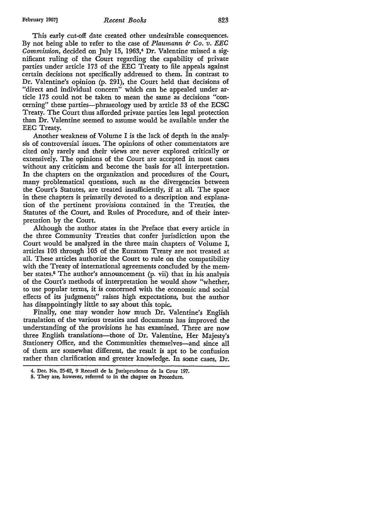## February 1967] *Recent Books* 823

This early cut-off date created other undesirable consequences. By not being able to refer to the case of *Plaumann b Co. v. EEC Commission,* decided on July 15, 1963,4 Dr. Valentine missed a significant ruling of the Court regarding the capability of private parties under article 173 of the EEC Treaty to file appeals against certain decisions not specifically addressed to them. In contrast to Dr. Valentine's opinion (p. 291), the Court held that decisions of "direct and individual concern" which can be appealed under article 173 could not be taken to mean the same as decisions "concerning" these parties-phraseology used by article 33 of the ECSC Treaty. The Court thus afforded private parties less legal protection than Dr. Valentine seemed to assume would be available under the EEC Treaty.

Another weakness of Volume I is the lack of depth in the analysis of controversial issues. The opinions of other commentators are cited only rarely and their views are never explored critically or extensively. The opinions of the Court are accepted in most cases without any criticism and become the basis for all interpretation. In the chapters on the organization and procedures of the Court, many problematical questions, such as the divergencies between the Court's Statutes, are treated insufficiently, if at all. The space in these chapters is primarily devoted to a description and explanation of the pertinent provisions contained in the Treaties, the Statutes of the Court, and Rules of Procedure, and of their interpretation by the Court.

Although the author states in the Preface that every article in the three Community Treaties that confer jurisdiction upon the Court would be analyzed in the three main chapters of Volume I, articles 103 through 105 of the Euratom Treaty are not treated at all. These articles authorize the Court to rule on the compatibility with the Treaty of international agreements concluded by the member states.6 The author's announcement (p. vii) that in his analysis of the Court's methods of interpretation he would show "whether, to use popular terms, it is concerned with the economic and social effects of its judgments" raises high expectations, but the author has disappointingly little to say about this topic.

Finally, one may wonder how much Dr. Valentine's English translation of the various treaties and documents has improved the understanding of the provisions he has examined. There are now three English translations-those of Dr. Valentine, Her Majesty's Stationery Office, and the Communities themselves-and since all of them are somewhat different, the result is apt to be confusion rather than clarification and greater knowledge. In some cases, Dr.

<sup>4.</sup> Dec. No. 25-62, 9 Recueil de la Jurisprudence de la Cour 197.

<sup>5.</sup> They are, however, referred to in the chapter on Procedure.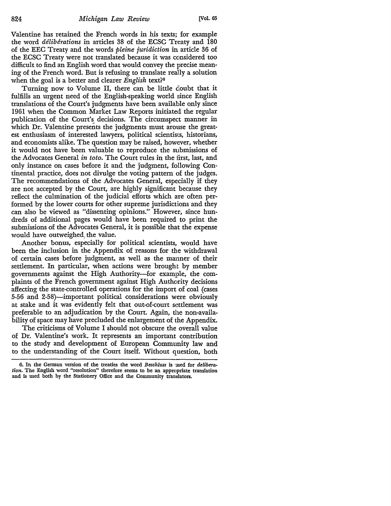Valentine has retained the French words in his texts; for example the word *deliberations* in articles 38 of the ECSC Treaty and 180 of the EEC Treaty and the words *pleine juridiction* in article 36 of the ECSC Treaty were not translated because it was considered too difficult to find an English word that would convey the precise meaning of the French word. But is refusing to translate really a solution when the goal is a better and clearer *English* text?<sup>6</sup>

Turning now to Volume II, there can be little doubt that it fulfills an urgent need of the English-speaking world since English translations of the Court's judgments have been available only since 1961 when the Common Market Law Reports initiated the regular publication of the Court's decisions. The circumspect manner in which Dr. Valentine presents the judgments must arouse the greatest enthusiasm of interested lawyers, political scientists, historians, and economists alike. The question may be raised, however, whether it would not have been valuable to reproduce the submissions of the Advocates General *in toto.* The Court rules in the first, last, and only instance on cases before it and the judgment, following Continental practice, does not divulge the voting pattern of the judges. The recommendations of the Advocates General, especially if they are not accepted by the Court, are highly significant because they reflect the culmination of the judicial efforts which are often performed by the lower courts for other supreme jurisdictions and they can also be viewed as "dissenting opinions." However, since hundreds of additional pages would have been required to print the submissions of the Advocates General, it is possible that the expense would have outweighed, the value.

Another bonus, especially for political scientists, would have been the inclusion in the Appendix of reasons for the withdrawal of certain cases before judgment, as well as the manner of their settlement. In particular, when actions were brought by member governments against the High Authority-for example, the complaints of the French government against High Authority decisions affecting the state-controlled operations for the import of coal (cases 5-56 and 2-58)-important political considerations were obviously at stake and it was evidently felt that out-of-court settlement was preferable to an adjudication by the Court. Again, the non-availability of space may have precluded the enlargement of 1he Appendix.

The criticisms of Volume I should not obscure the overall value of Dr. Valentine's work. It represents an important contribution to the study and development of European Community law and to the understanding of the Court itself. Without question, both

<sup>6.</sup> In the German version of the treaties the word *Beschluss* is ·115ed for *deliberation.* The English word "resolution" therefore seems to be an appropriate translation and is used both by the Stationery Office and the Community translators.